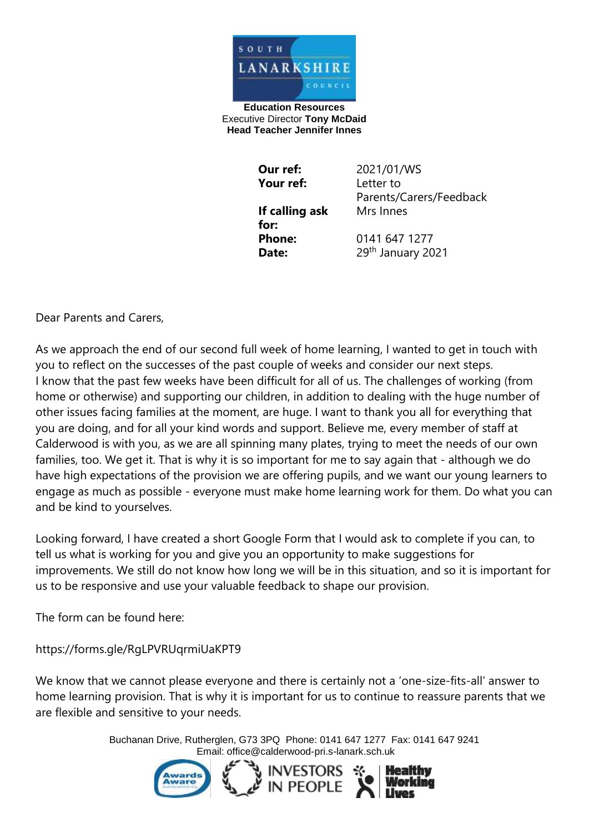

**Education Resources** Executive Director **Tony McDaid Head Teacher Jennifer Innes** 

| Our ref:       | 2021/01/WS              |
|----------------|-------------------------|
| Your ref:      | Letter to               |
|                | Parents/Carers/Feedback |
| If calling ask | Mrs Innes               |
| for:           |                         |
| <b>Phone:</b>  | 0141 647 1277           |
| Date:          | 29th January 2021       |

Dear Parents and Carers,

As we approach the end of our second full week of home learning, I wanted to get in touch with you to reflect on the successes of the past couple of weeks and consider our next steps. I know that the past few weeks have been difficult for all of us. The challenges of working (from home or otherwise) and supporting our children, in addition to dealing with the huge number of other issues facing families at the moment, are huge. I want to thank you all for everything that you are doing, and for all your kind words and support. Believe me, every member of staff at Calderwood is with you, as we are all spinning many plates, trying to meet the needs of our own families, too. We get it. That is why it is so important for me to say again that - although we do have high expectations of the provision we are offering pupils, and we want our young learners to engage as much as possible - everyone must make home learning work for them. Do what you can and be kind to yourselves.

Looking forward, I have created a short Google Form that I would ask to complete if you can, to tell us what is working for you and give you an opportunity to make suggestions for improvements. We still do not know how long we will be in this situation, and so it is important for us to be responsive and use your valuable feedback to shape our provision.

The form can be found here:

https://forms.gle/RgLPVRUqrmiUaKPT9

We know that we cannot please everyone and there is certainly not a 'one-size-fits-all' answer to home learning provision. That is why it is important for us to continue to reassure parents that we are flexible and sensitive to your needs.

> Buchanan Drive, Rutherglen, G73 3PQ Phone: 0141 647 1277 Fax: 0141 647 9241 Email: [office@calderwood-pri.s-lanark.sch.uk](mailto:office@calderwood-pri.s-lanark.sch.uk)